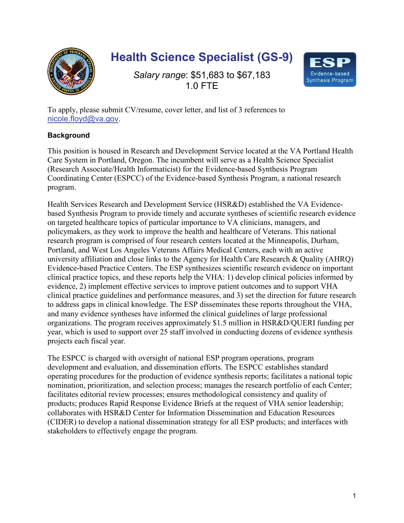

## **Health Science Specialist (GS-9)**

*Salary range*: \$51,683 to \$67,183 1.0 FTE



To apply, please submit CV/resume, cover letter, and list of 3 references to [nicole.floyd@va.gov](mailto:nicole.floyd@va.gov).

## **Background**

This position is housed in Research and Development Service located at the VA Portland Health Care System in Portland, Oregon. The incumbent will serve as a Health Science Specialist (Research Associate/Health Informaticist) for the Evidence-based Synthesis Program Coordinating Center (ESPCC) of the Evidence-based Synthesis Program, a national research program.

Health Services Research and Development Service (HSR&D) established the VA Evidencebased Synthesis Program to provide timely and accurate syntheses of scientific research evidence on targeted healthcare topics of particular importance to VA clinicians, managers, and policymakers, as they work to improve the health and healthcare of Veterans. This national research program is comprised of four research centers located at the Minneapolis, Durham, Portland, and West Los Angeles Veterans Affairs Medical Centers, each with an active university affiliation and close links to the Agency for Health Care Research & Quality (AHRQ) Evidence-based Practice Centers. The ESP synthesizes scientific research evidence on important clinical practice topics, and these reports help the VHA: 1) develop clinical policies informed by evidence, 2) implement effective services to improve patient outcomes and to support VHA clinical practice guidelines and performance measures, and 3) set the direction for future research to address gaps in clinical knowledge. The ESP disseminates these reports throughout the VHA, and many evidence syntheses have informed the clinical guidelines of large professional organizations. The program receives approximately \$1.5 million in HSR&D/QUERI funding per year, which is used to support over 25 staff involved in conducting dozens of evidence synthesis projects each fiscal year.

The ESPCC is charged with oversight of national ESP program operations, program development and evaluation, and dissemination efforts. The ESPCC establishes standard operating procedures for the production of evidence synthesis reports; facilitates a national topic nomination, prioritization, and selection process; manages the research portfolio of each Center; facilitates editorial review processes; ensures methodological consistency and quality of products; produces Rapid Response Evidence Briefs at the request of VHA senior leadership; collaborates with HSR&D Center for Information Dissemination and Education Resources (CIDER) to develop a national dissemination strategy for all ESP products; and interfaces with stakeholders to effectively engage the program.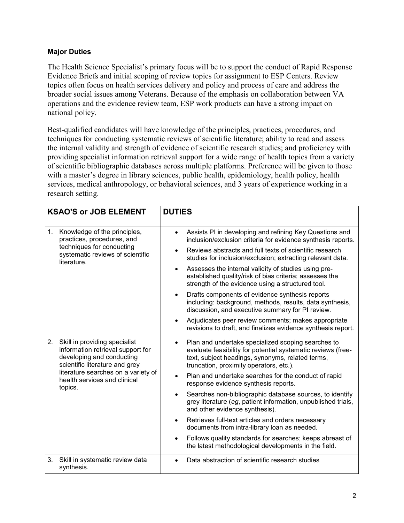## **Major Duties**

The Health Science Specialist's primary focus will be to support the conduct of Rapid Response Evidence Briefs and initial scoping of review topics for assignment to ESP Centers. Review topics often focus on health services delivery and policy and process of care and address the broader social issues among Veterans. Because of the emphasis on collaboration between VA operations and the evidence review team, ESP work products can have a strong impact on national policy.

Best-qualified candidates will have knowledge of the principles, practices, procedures, and techniques for conducting systematic reviews of scientific literature; ability to read and assess the internal validity and strength of evidence of scientific research studies; and proficiency with providing specialist information retrieval support for a wide range of health topics from a variety of scientific bibliographic databases across multiple platforms. Preference will be given to those with a master's degree in library sciences, public health, epidemiology, health policy, health services, medical anthropology, or behavioral sciences, and 3 years of experience working in a research setting.

| <b>KSAO'S or JOB ELEMENT</b>                                                                                                                                                                                              | <b>DUTIES</b>                                                                                                                                                                                                                                                                                                                                                                                                                                                                                                                                                                                                                                                                                                                                                              |  |
|---------------------------------------------------------------------------------------------------------------------------------------------------------------------------------------------------------------------------|----------------------------------------------------------------------------------------------------------------------------------------------------------------------------------------------------------------------------------------------------------------------------------------------------------------------------------------------------------------------------------------------------------------------------------------------------------------------------------------------------------------------------------------------------------------------------------------------------------------------------------------------------------------------------------------------------------------------------------------------------------------------------|--|
| Knowledge of the principles,<br>1.<br>practices, procedures, and<br>techniques for conducting<br>systematic reviews of scientific<br>literature.                                                                          | Assists PI in developing and refining Key Questions and<br>$\bullet$<br>inclusion/exclusion criteria for evidence synthesis reports.<br>Reviews abstracts and full texts of scientific research<br>$\bullet$<br>studies for inclusion/exclusion; extracting relevant data.<br>Assesses the internal validity of studies using pre-<br>$\bullet$<br>established quality/risk of bias criteria; assesses the<br>strength of the evidence using a structured tool.<br>Drafts components of evidence synthesis reports<br>$\bullet$<br>including: background, methods, results, data synthesis,<br>discussion, and executive summary for PI review.<br>Adjudicates peer review comments; makes appropriate<br>revisions to draft, and finalizes evidence synthesis report.     |  |
| 2.<br>Skill in providing specialist<br>information retrieval support for<br>developing and conducting<br>scientific literature and grey<br>literature searches on a variety of<br>health services and clinical<br>topics. | Plan and undertake specialized scoping searches to<br>$\bullet$<br>evaluate feasibility for potential systematic reviews (free-<br>text, subject headings, synonyms, related terms,<br>truncation, proximity operators, etc.).<br>Plan and undertake searches for the conduct of rapid<br>$\bullet$<br>response evidence synthesis reports.<br>Searches non-bibliographic database sources, to identify<br>$\bullet$<br>grey literature (eg, patient information, unpublished trials,<br>and other evidence synthesis).<br>Retrieves full-text articles and orders necessary<br>$\bullet$<br>documents from intra-library loan as needed.<br>Follows quality standards for searches; keeps abreast of<br>$\bullet$<br>the latest methodological developments in the field. |  |
| 3 <sub>1</sub><br>Skill in systematic review data<br>synthesis.                                                                                                                                                           | Data abstraction of scientific research studies                                                                                                                                                                                                                                                                                                                                                                                                                                                                                                                                                                                                                                                                                                                            |  |